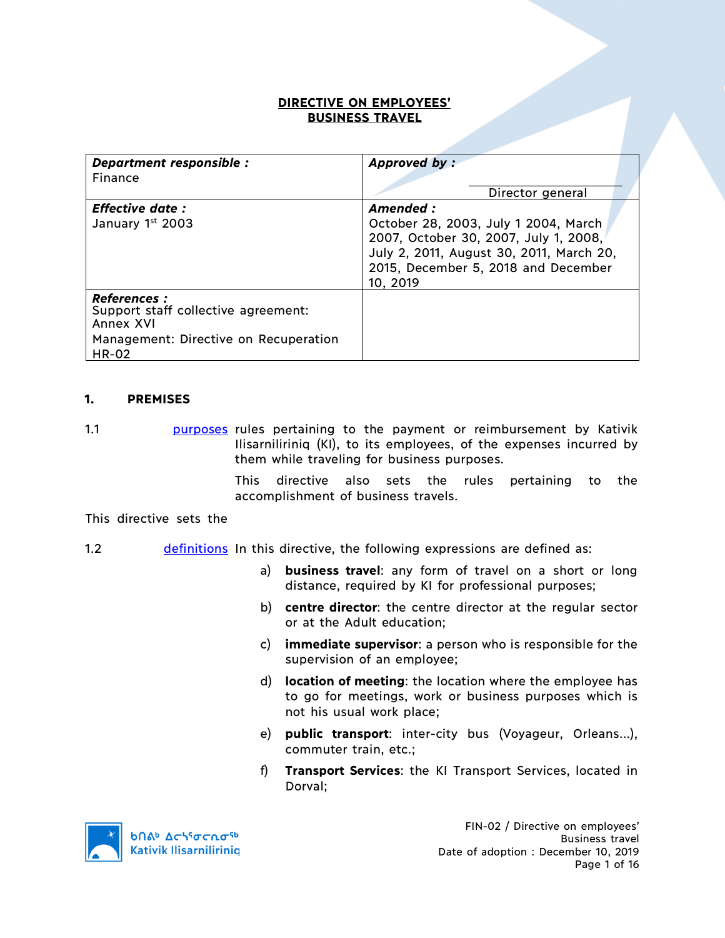### **DIRECTIVE ON EMPLOYEES' BUSINESS TRAVEL**

| Department responsible :<br>Finance                                                                                              | Approved by:                                                                                                                                                                              |
|----------------------------------------------------------------------------------------------------------------------------------|-------------------------------------------------------------------------------------------------------------------------------------------------------------------------------------------|
|                                                                                                                                  | Director general                                                                                                                                                                          |
| <b>Effective date:</b><br>January 1st 2003                                                                                       | Amended :<br>October 28, 2003, July 1 2004, March<br>2007, October 30, 2007, July 1, 2008,<br>July 2, 2011, August 30, 2011, March 20,<br>2015, December 5, 2018 and December<br>10, 2019 |
| <b>References :</b><br>Support staff collective agreement:<br>Annex XVI<br>Management: Directive on Recuperation<br><b>HR-02</b> |                                                                                                                                                                                           |

### **1. PREMISES**

1.1 **purposes** rules pertaining to the payment or reimbursement by Kativik Ilisarniliriniq (KI), to its employees, of the expenses incurred by them while traveling for business purposes.

> This directive also sets the rules pertaining to the accomplishment of business travels.

This directive sets the

### 1.2 definitions In this directive, the following expressions are defined as:

- a) **business travel**: any form of travel on a short or long distance, required by KI for professional purposes;
- b) **centre director**: the centre director at the regular sector or at the Adult education;
- c) **immediate supervisor**: a person who is responsible for the supervision of an employee;
- d) **location of meeting**: the location where the employee has to go for meetings, work or business purposes which is not his usual work place;
- e) **public transport**: inter-city bus (Voyageur, Orleans...), commuter train, etc.;
- f) **Transport Services**: the KI Transport Services, located in Dorval;

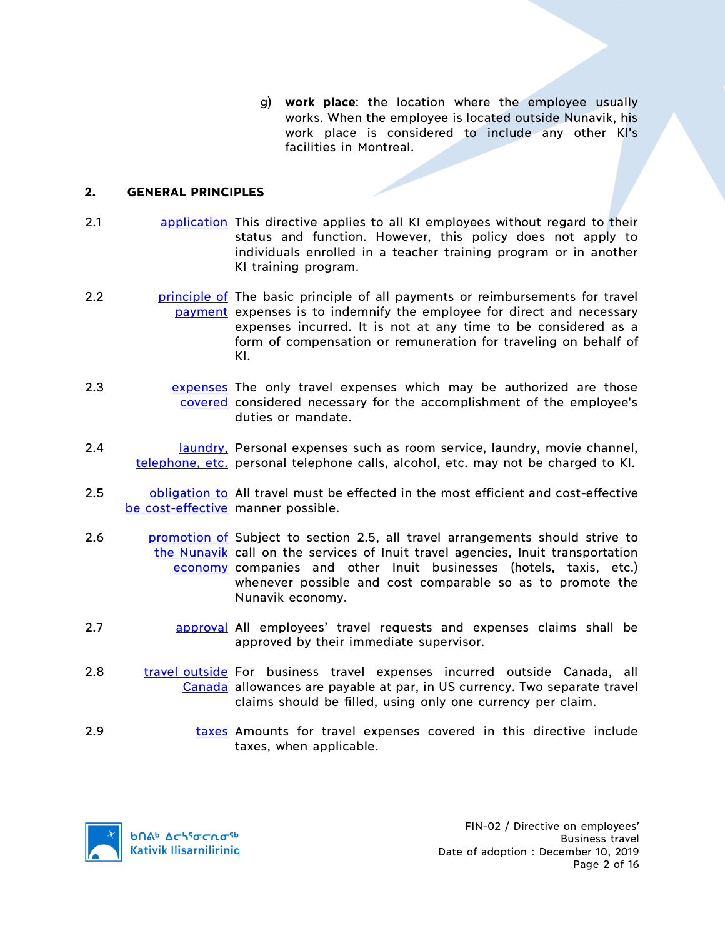g) **work place**: the location where the employee usually works. When the employee is located outside Nunavik, his work place is considered to include any other KI's facilities in Montreal.

# **2. GENERAL PRINCIPLES**

- 2.1 application This directive applies to all KI employees without regard to their status and function. However, this policy does not apply to individuals enrolled in a teacher training program or in another KI training program.
- 2.2 **principle of** The basic principle of all payments or reimbursements for travel payment expenses is to indemnify the employee for direct and necessary expenses incurred. It is not at any time to be considered as a form of compensation or remuneration for traveling on behalf of KI.
- 2.3 expenses The only travel expenses which may be authorized are those covered considered necessary for the accomplishment of the employee's duties or mandate.
- 2.4 laundry, Personal expenses such as room service, laundry, movie channel, telephone, etc. personal telephone calls, alcohol, etc. may not be charged to KI.
- 2.5 **b**obligation to All travel must be effected in the most efficient and cost-effective be cost-effective manner possible.
- 2.6 **promotion of Subject to section 2.5, all travel arrangements should strive to** the Nunavik call on the services of Inuit travel agencies, Inuit transportation economy companies and other Inuit businesses (hotels, taxis, etc.) whenever possible and cost comparable so as to promote the Nunavik economy.
- 2.7 approval All employees' travel requests and expenses claims shall be approved by their immediate supervisor.
- 2.8 travel outside For business travel expenses incurred outside Canada, all Canada allowances are payable at par, in US currency. Two separate travel claims should be filled, using only one currency per claim.
- 2.9 taxes Amounts for travel expenses covered in this directive include taxes, when applicable.

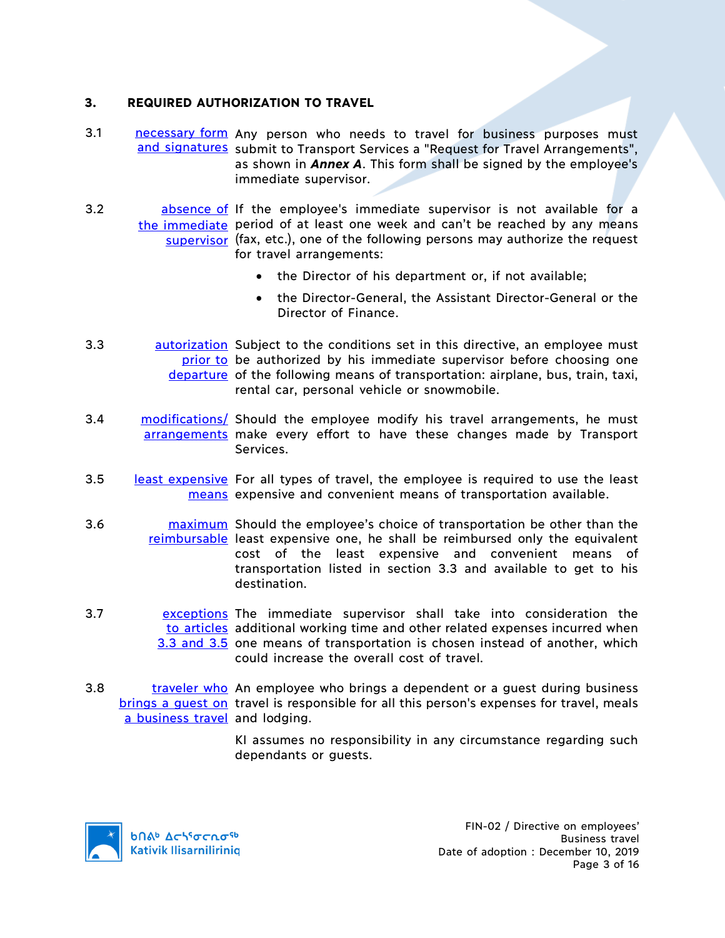### **3. REQUIRED AUTHORIZATION TO TRAVEL**

- 3.1 **necessary form** Any person who needs to travel for business purposes must and signatures submit to Transport Services a "Request for Travel Arrangements", as shown in *Annex A*. This form shall be signed by the employee's immediate supervisor.
- 3.2 **busines absence of If the employee's immediate supervisor is not available for a** the immediate period of at least one week and can't be reached by any means supervisor (fax, etc.), one of the following persons may authorize the request for travel arrangements:
	- the Director of his department or, if not available;
	- the Director-General, the Assistant Director-General or the Director of Finance.
- 3.3 **autorization** Subject to the conditions set in this directive, an employee must prior to be authorized by his immediate supervisor before choosing one departure of the following means of transportation: airplane, bus, train, taxi, rental car, personal vehicle or snowmobile.
- 3.4 modifications/ Should the employee modify his travel arrangements, he must arrangements make every effort to have these changes made by Transport Services.
- 3.5 least expensive For all types of travel, the employee is required to use the least means expensive and convenient means of transportation available.
- 3.6 **maximum** Should the employee's choice of transportation be other than the reimbursable least expensive one, he shall be reimbursed only the equivalent cost of the least expensive and convenient means of transportation listed in section 3.3 and available to get to his destination.
- 3.7 **Examble 12** exceptions The immediate supervisor shall take into consideration the to articles additional working time and other related expenses incurred when 3.3 and 3.5 one means of transportation is chosen instead of another, which could increase the overall cost of travel.
- 3.8 traveler who An employee who brings a dependent or a guest during business brings a guest on travel is responsible for all this person's expenses for travel, meals a business travel and lodging.
	- KI assumes no responsibility in any circumstance regarding such dependants or guests.

**b**በል<sup>b</sup> Δςιτσς το <sup>τρ</sup> **Kativik Ilisarniliriniq**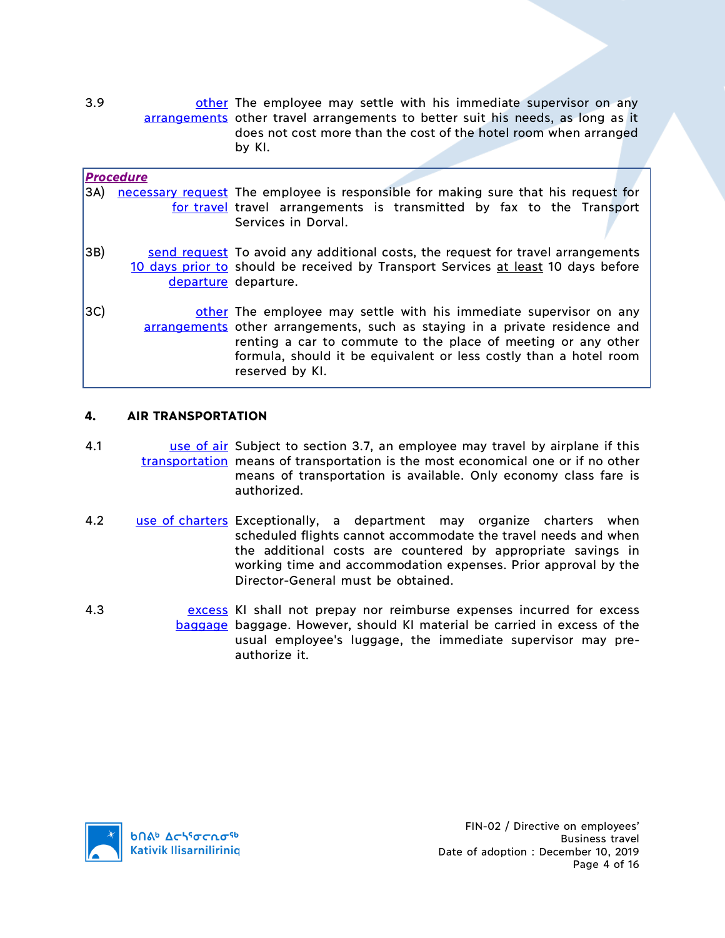3.9 **busine in the employee may settle with his immediate supervisor on any** arrangements other travel arrangements to better suit his needs, as long as it does not cost more than the cost of the hotel room when arranged by KI.

|     | <b>Procedure</b> |                                                                                                                                                                                                                                                                                                            |
|-----|------------------|------------------------------------------------------------------------------------------------------------------------------------------------------------------------------------------------------------------------------------------------------------------------------------------------------------|
| 3A) |                  | necessary request The employee is responsible for making sure that his request for<br>for travel travel arrangements is transmitted by fax to the Transport<br>Services in Dorval.                                                                                                                         |
| 3B) |                  | send request To avoid any additional costs, the request for travel arrangements<br>10 days prior to should be received by Transport Services at least 10 days before<br>departure departure.                                                                                                               |
| 3C) |                  | other The employee may settle with his immediate supervisor on any<br>arrangements other arrangements, such as staying in a private residence and<br>renting a car to commute to the place of meeting or any other<br>formula, should it be equivalent or less costly than a hotel room<br>reserved by KI. |

# **4. AIR TRANSPORTATION**

- 4.1 **1992 U.S. U.S. U.S. U.S. U.S. U.S. I** Subject to section 3.7, an employee may travel by airplane if this transportation means of transportation is the most economical one or if no other means of transportation is available. Only economy class fare is authorized.
- 4.2 use of charters Exceptionally, a department may organize charters when scheduled flights cannot accommodate the travel needs and when the additional costs are countered by appropriate savings in working time and accommodation expenses. Prior approval by the Director-General must be obtained.
- 4.3 excess KI shall not prepay nor reimburse expenses incurred for excess baggage baggage. However, should KI material be carried in excess of the usual employee's luggage, the immediate supervisor may preauthorize it.

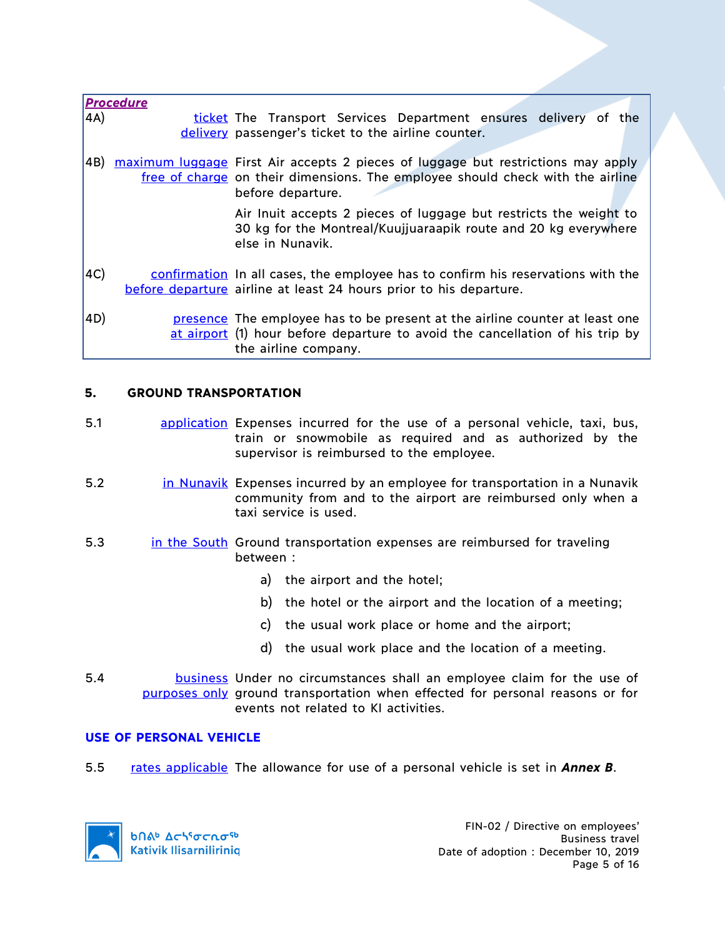|     | <b>Procedure</b> |                                                                                                                                                                                         |
|-----|------------------|-----------------------------------------------------------------------------------------------------------------------------------------------------------------------------------------|
| 4A) |                  | ticket The Transport Services Department ensures delivery of the                                                                                                                        |
|     |                  | delivery passenger's ticket to the airline counter.                                                                                                                                     |
| 4B) |                  | maximum luggage First Air accepts 2 pieces of luggage but restrictions may apply<br>free of charge on their dimensions. The employee should check with the airline<br>before departure. |
|     |                  | Air Inuit accepts 2 pieces of luggage but restricts the weight to<br>30 kg for the Montreal/Kuujjuaraapik route and 20 kg everywhere<br>else in Nunavik.                                |
| 4C) |                  | confirmation In all cases, the employee has to confirm his reservations with the<br>before departure airline at least 24 hours prior to his departure.                                  |
| 4D) |                  | presence The employee has to be present at the airline counter at least one<br>at airport (1) hour before departure to avoid the cancellation of his trip by<br>the airline company.    |

# **5. GROUND TRANSPORTATION**

- 5.1 application Expenses incurred for the use of a personal vehicle, taxi, bus, train or snowmobile as required and as authorized by the supervisor is reimbursed to the employee.
- 5.2 in Nunavik Expenses incurred by an employee for transportation in a Nunavik community from and to the airport are reimbursed only when a taxi service is used.
- 5.3 in the South Ground transportation expenses are reimbursed for traveling between :
	- a) the airport and the hotel;
	- b) the hotel or the airport and the location of a meeting;
	- c) the usual work place or home and the airport;
	- d) the usual work place and the location of a meeting.
- 5.4 **business** Under no circumstances shall an employee claim for the use of purposes only ground transportation when effected for personal reasons or for events not related to KI activities.

### **USE OF PERSONAL VEHICLE**

5.5 rates applicable The allowance for use of a personal vehicle is set in *Annex B*.

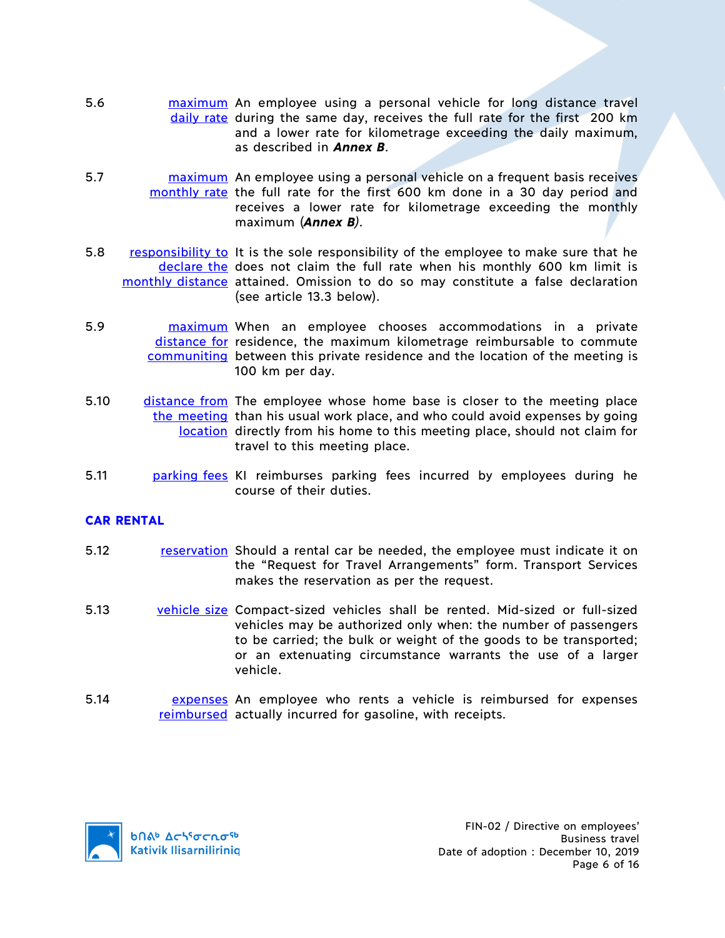- 5.6 **maximum** An employee using a personal vehicle for long distance travel daily rate during the same day, receives the full rate for the first 200 km and a lower rate for kilometrage exceeding the daily maximum, as described in *Annex B*.
- 5.7 **maximum** An employee using a personal vehicle on a frequent basis receives monthly rate the full rate for the first 600 km done in a 30 day period and receives a lower rate for kilometrage exceeding the monthly maximum (*Annex B)*.
- 5.8 responsibility to It is the sole responsibility of the employee to make sure that he declare the does not claim the full rate when his monthly 600 km limit is monthly distance attained. Omission to do so may constitute a false declaration (see article 13.3 below).
- 5.9 maximum When an employee chooses accommodations in a private distance for residence, the maximum kilometrage reimbursable to commute communiting between this private residence and the location of the meeting is 100 km per day.
- 5.10 distance from The employee whose home base is closer to the meeting place the meeting than his usual work place, and who could avoid expenses by going location directly from his home to this meeting place, should not claim for travel to this meeting place.
- 5.11 **parking fees KI reimburses parking fees incurred by employees during he** course of their duties.

# **CAR RENTAL**

- 5.12 **reservation** Should a rental car be needed, the employee must indicate it on the "Request for Travel Arrangements" form. Transport Services makes the reservation as per the request.
- 5.13 vehicle size Compact-sized vehicles shall be rented. Mid-sized or full-sized vehicles may be authorized only when: the number of passengers to be carried; the bulk or weight of the goods to be transported; or an extenuating circumstance warrants the use of a larger vehicle.
- 5.14 **EXPERSES** An employee who rents a vehicle is reimbursed for expenses reimbursed actually incurred for gasoline, with receipts.

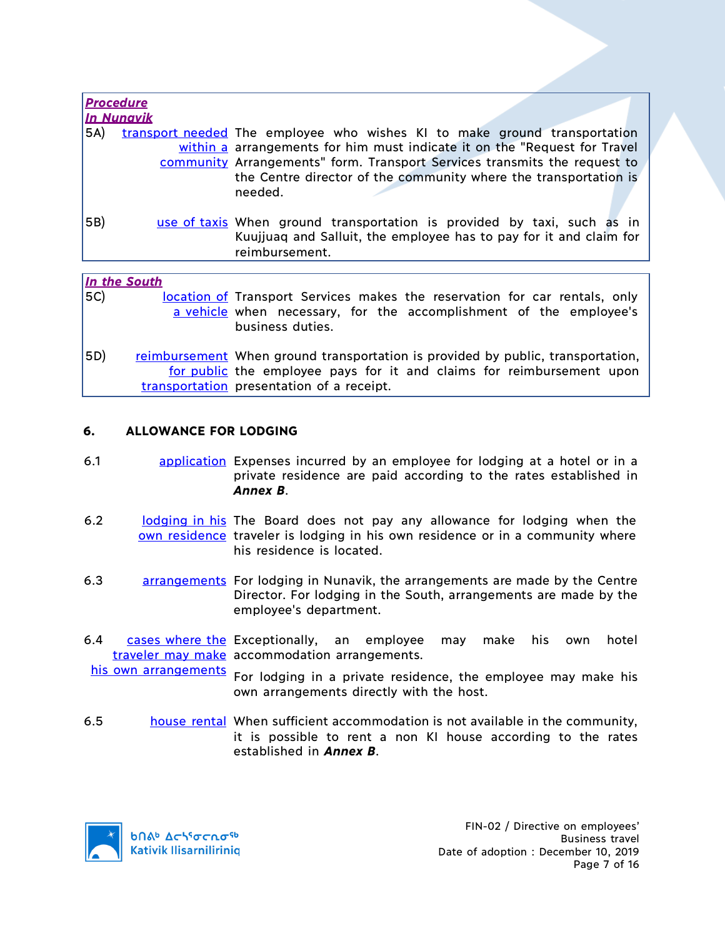| <b>Procedure</b> |            |                                                                                                                                                                 |
|------------------|------------|-----------------------------------------------------------------------------------------------------------------------------------------------------------------|
|                  | In Nunavik |                                                                                                                                                                 |
| 5A)              |            | transport needed The employee who wishes KI to make ground transportation                                                                                       |
|                  |            | within a arrangements for him must indicate it on the "Request for Travel                                                                                       |
|                  |            | community Arrangements" form. Transport Services transmits the request to                                                                                       |
|                  |            | the Centre director of the community where the transportation is<br>needed.                                                                                     |
| $ 5B\rangle$     |            | use of taxis When ground transportation is provided by taxi, such as in<br>Kuujjuag and Salluit, the employee has to pay for it and claim for<br>reimbursement. |
|                  |            |                                                                                                                                                                 |

#### *In the South*

5C) location of Transport Services makes the reservation for car rentals, only a vehicle when necessary, for the accomplishment of the employee's business duties.

5D) reimbursement When ground transportation is provided by public, transportation, for public the employee pays for it and claims for reimbursement upon transportation presentation of a receipt.

### **6. ALLOWANCE FOR LODGING**

- 6.1 application Expenses incurred by an employee for lodging at a hotel or in a private residence are paid according to the rates established in *Annex B*.
- 6.2 **lodging in his The Board does not pay any allowance for lodging when the** own residence traveler is lodging in his own residence or in a community where his residence is located.
- 6.3 arrangements For lodging in Nunavik, the arrangements are made by the Centre Director. For lodging in the South, arrangements are made by the employee's department.
- 6.4 cases where the Exceptionally, an employee may make his own hotel traveler may make accommodation arrangements.

his own arrangements For lodging in a private residence, the employee may make his own arrangements directly with the host.

6.5 house rental When sufficient accommodation is not available in the community, it is possible to rent a non KI house according to the rates established in *Annex B*.

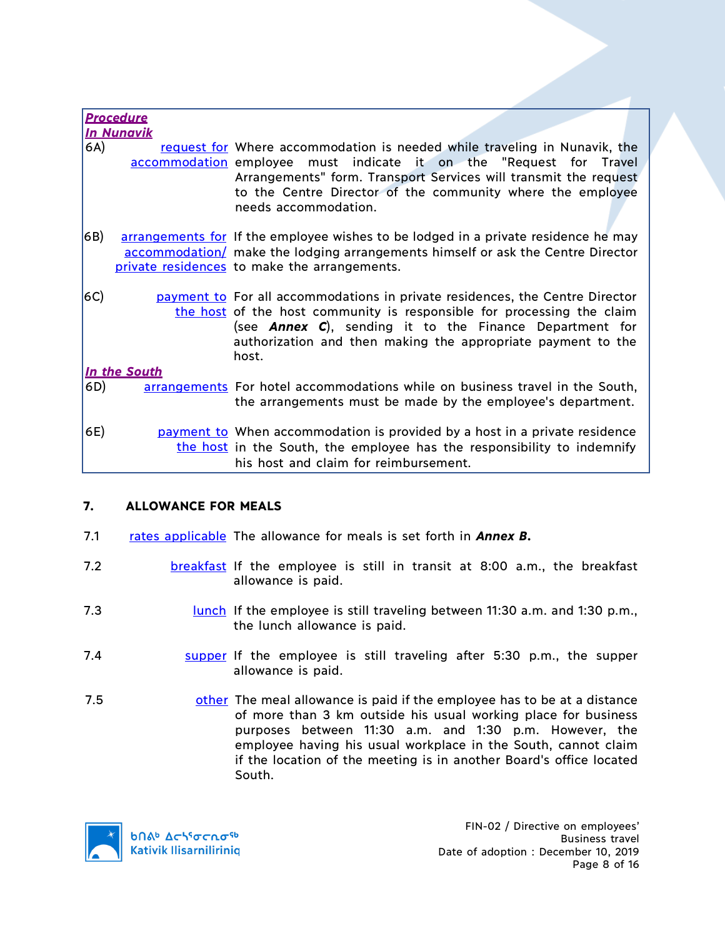|              | <b>Procedure</b><br><b>In Nunavik</b> |                                                                                                                                                                                                                                                                                                           |
|--------------|---------------------------------------|-----------------------------------------------------------------------------------------------------------------------------------------------------------------------------------------------------------------------------------------------------------------------------------------------------------|
| 6A)          |                                       | request for Where accommodation is needed while traveling in Nunavik, the<br>accommodation employee must indicate it on the "Request for Travel<br>Arrangements" form. Transport Services will transmit the request<br>to the Centre Director of the community where the employee<br>needs accommodation. |
| 6B)          |                                       | arrangements for If the employee wishes to be lodged in a private residence he may<br>accommodation/ make the lodging arrangements himself or ask the Centre Director<br>private residences to make the arrangements.                                                                                     |
| $ 6C\rangle$ |                                       | payment to For all accommodations in private residences, the Centre Director<br>the host of the host community is responsible for processing the claim<br>(see <b>Annex C</b> ), sending it to the Finance Department for<br>authorization and then making the appropriate payment to the<br>host.        |
|              | In the South                          |                                                                                                                                                                                                                                                                                                           |
| 6D)          |                                       | arrangements For hotel accommodations while on business travel in the South,<br>the arrangements must be made by the employee's department.                                                                                                                                                               |
| 6E)          |                                       | payment to When accommodation is provided by a host in a private residence<br>the host in the South, the employee has the responsibility to indemnify<br>his host and claim for reimbursement.                                                                                                            |

# **7. ALLOWANCE FOR MEALS**

- 7.1 rates applicable The allowance for meals is set forth in **Annex B.**
- 7.2 **breakfast** If the employee is still in transit at 8:00 a.m., the breakfast allowance is paid.
- 7.3 **IUDENT IF THE EMPLOYEE IS STILL TRAVELING DETAINE 11:30 a.m. and 1:30 p.m.,** the lunch allowance is paid.
- 7.4 supper If the employee is still traveling after 5:30 p.m., the supper allowance is paid.
- 7.5 **other** The meal allowance is paid if the employee has to be at a distance of more than 3 km outside his usual working place for business purposes between 11:30 a.m. and 1:30 p.m. However, the employee having his usual workplace in the South, cannot claim if the location of the meeting is in another Board's office located South.

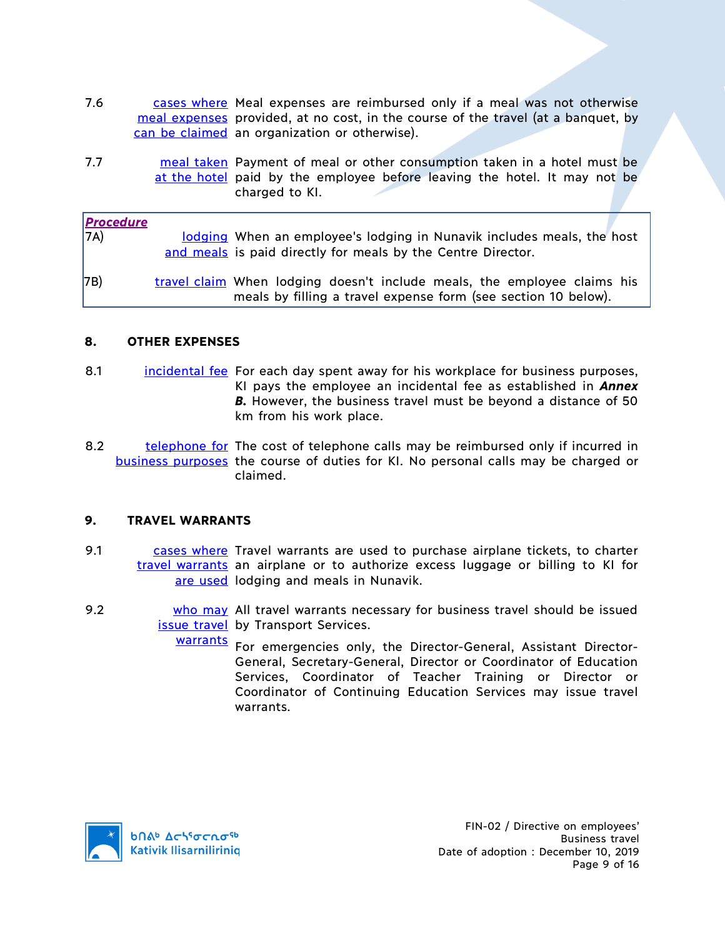- 7.6 cases where Meal expenses are reimbursed only if a meal was not otherwise meal expenses provided, at no cost, in the course of the travel (at a banquet, by can be claimed an organization or otherwise).
- 7.7 **meal taken** Payment of meal or other consumption taken in a hotel must be at the hotel paid by the employee before leaving the hotel. It may not be charged to KI.

| <b>Procedure</b> |                                                                                                                                            |
|------------------|--------------------------------------------------------------------------------------------------------------------------------------------|
| 7A)              | lodging When an employee's lodging in Nunavik includes meals, the host                                                                     |
|                  | and meals is paid directly for meals by the Centre Director.                                                                               |
| 7B)              | travel claim When lodging doesn't include meals, the employee claims his<br>meals by filling a travel expense form (see section 10 below). |

### **8. OTHER EXPENSES**

- 8.1 incidental fee For each day spent away for his workplace for business purposes, KI pays the employee an incidental fee as established in *Annex*  **B.** However, the business travel must be beyond a distance of 50 km from his work place.
- 8.2 telephone for The cost of telephone calls may be reimbursed only if incurred in business purposes the course of duties for KI. No personal calls may be charged or claimed.

### **9. TRAVEL WARRANTS**

- 9.1 cases where Travel warrants are used to purchase airplane tickets, to charter travel warrants an airplane or to authorize excess luggage or billing to KI for are used lodging and meals in Nunavik.
- 9.2 **who may** All travel warrants necessary for business travel should be issued issue travel by Transport Services.
	- warrants For emergencies only, the Director-General, Assistant Director-General, Secretary-General, Director or Coordinator of Education Services, Coordinator of Teacher Training or Director or Coordinator of Continuing Education Services may issue travel warrants.

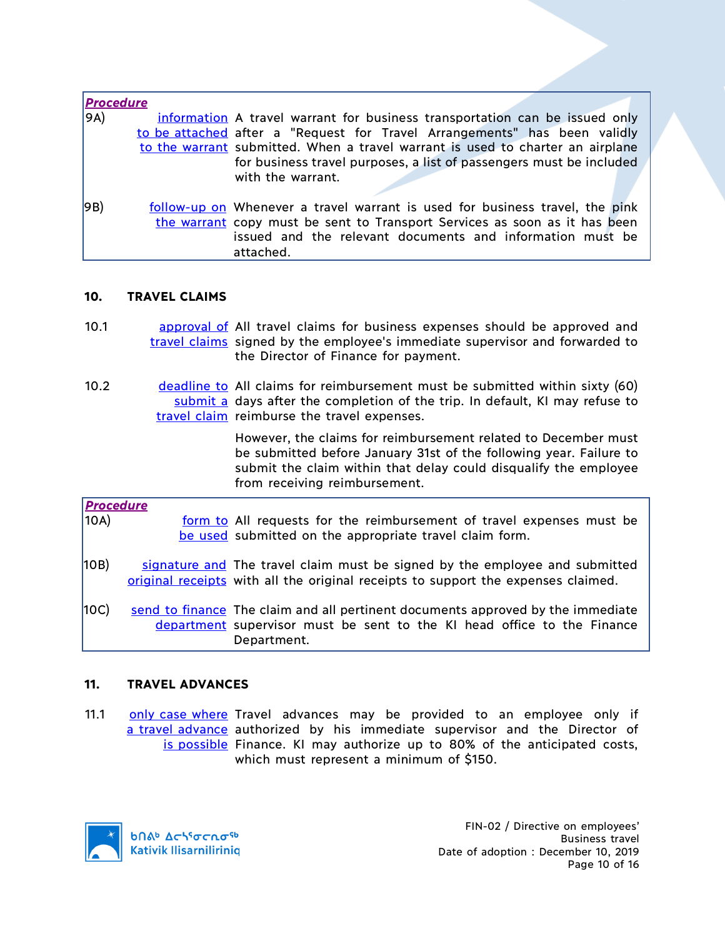| <b>Procedure</b> |                                                                                                                                                                                                                                      |
|------------------|--------------------------------------------------------------------------------------------------------------------------------------------------------------------------------------------------------------------------------------|
| 9A)              | information A travel warrant for business transportation can be issued only                                                                                                                                                          |
|                  | to be attached after a "Request for Travel Arrangements" has been validly                                                                                                                                                            |
|                  | to the warrant submitted. When a travel warrant is used to charter an airplane                                                                                                                                                       |
|                  | for business travel purposes, a list of passengers must be included<br>with the warrant.                                                                                                                                             |
| 9B)              | follow-up on Whenever a travel warrant is used for business travel, the pink<br>the warrant copy must be sent to Transport Services as soon as it has been<br>issued and the relevant documents and information must be<br>attached. |

### **10. TRAVEL CLAIMS**

- 10.1 **approval of All travel claims for business expenses should be approved and** travel claims signed by the employee's immediate supervisor and forwarded to the Director of Finance for payment.
- 10.2 deadline to All claims for reimbursement must be submitted within sixty (60) submit a days after the completion of the trip. In default, KI may refuse to travel claim reimburse the travel expenses.

However, the claims for reimbursement related to December must be submitted before January 31st of the following year. Failure to submit the claim within that delay could disqualify the employee from receiving reimbursement.

| <b>Procedure</b> |                                                                                   |
|------------------|-----------------------------------------------------------------------------------|
| 10A)             | form to All requests for the reimbursement of travel expenses must be             |
|                  | be used submitted on the appropriate travel claim form.                           |
| 10B)             | signature and The travel claim must be signed by the employee and submitted       |
|                  | original receipts with all the original receipts to support the expenses claimed. |
| 10C              | send to finance. The claim and all pertinent documents approved by the immediate  |
|                  | department supervisor must be sent to the KI head office to the Finance           |
|                  | Department.                                                                       |

### **11. TRAVEL ADVANCES**

11.1 **only case where** Travel advances may be provided to an employee only if a travel advance authorized by his immediate supervisor and the Director of is possible Finance. KI may authorize up to 80% of the anticipated costs, which must represent a minimum of \$150.

**b**Πል<sup>b</sup> Δςιγσς ησ<sup>ς 6</sup> **Kativik Ilisarniliriniq**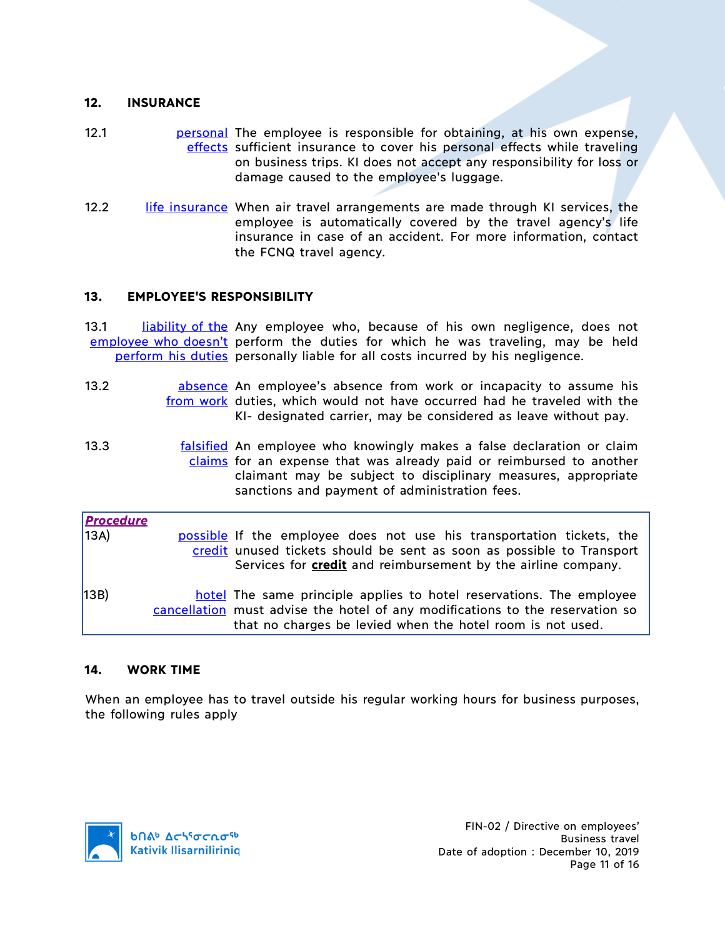### **12. INSURANCE**

- 12.1 **personal The employee is responsible for obtaining, at his own expense,** effects sufficient insurance to cover his personal effects while traveling on business trips. KI does not accept any responsibility for loss or damage caused to the employee's luggage.
- 12.2 life insurance When air travel arrangements are made through KI services, the employee is automatically covered by the travel agency's life insurance in case of an accident. For more information, contact the FCNQ travel agency.

### **13. EMPLOYEE'S RESPONSIBILITY**

13.1 liability of the Any employee who, because of his own negligence, does not employee who doesn't perform the duties for which he was traveling, may be held perform his duties personally liable for all costs incurred by his negligence.

- 13.2 **absence** An employee's absence from work or incapacity to assume his from work duties, which would not have occurred had he traveled with the KI- designated carrier, may be considered as leave without pay.
- 13.3 **falsified** An employee who knowingly makes a false declaration or claim claims for an expense that was already paid or reimbursed to another claimant may be subject to disciplinary measures, appropriate sanctions and payment of administration fees.

| <b>Procedure</b><br>13A) | possible If the employee does not use his transportation tickets, the<br>credit unused tickets should be sent as soon as possible to Transport<br>Services for <b>credit</b> and reimbursement by the airline company. |
|--------------------------|------------------------------------------------------------------------------------------------------------------------------------------------------------------------------------------------------------------------|
| 13B)                     | hotel The same principle applies to hotel reservations. The employee<br>cancellation must advise the hotel of any modifications to the reservation so<br>that no charges be levied when the hotel room is not used.    |

### **14. WORK TIME**

When an employee has to travel outside his regular working hours for business purposes, the following rules apply

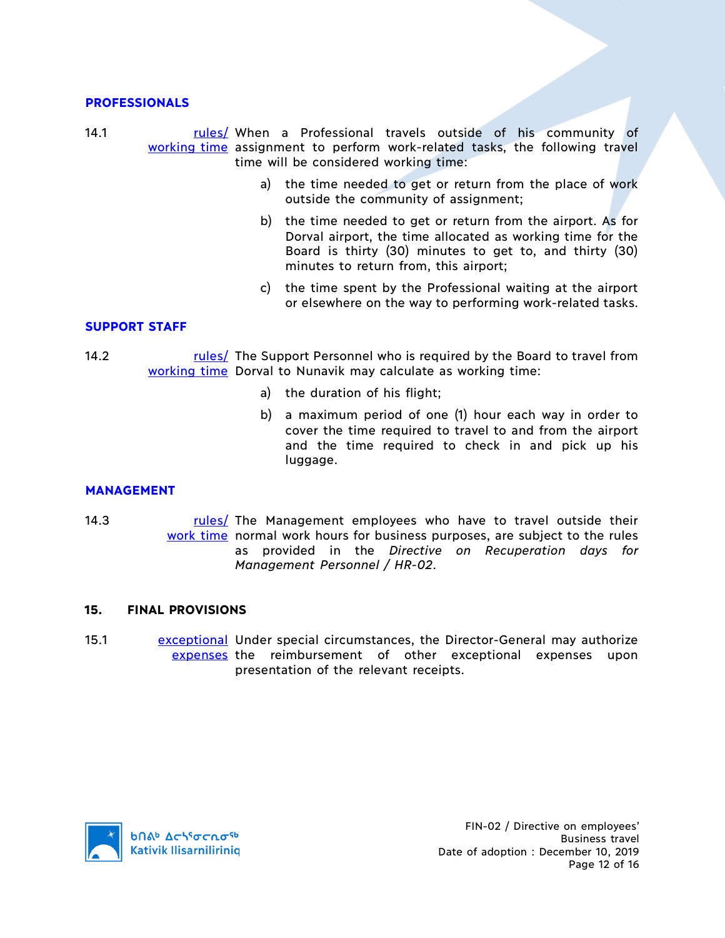#### **PROFESSIONALS**

14.1 **rules**/ When a Professional travels outside of his community of working time assignment to perform work-related tasks, the following travel time will be considered working time:

- a) the time needed to get or return from the place of work outside the community of assignment;
- b) the time needed to get or return from the airport. As for Dorval airport, the time allocated as working time for the Board is thirty (30) minutes to get to, and thirty (30) minutes to return from, this airport;
- c) the time spent by the Professional waiting at the airport or elsewhere on the way to performing work-related tasks.

### **SUPPORT STAFF**

- 14.2 The Support Personnel who is required by the Board to travel from working time Dorval to Nunavik may calculate as working time:
	- a) the duration of his flight;
	- b) a maximum period of one (1) hour each way in order to cover the time required to travel to and from the airport and the time required to check in and pick up his luggage.

### **MANAGEMENT**

14.3 The Management employees who have to travel outside their work time normal work hours for business purposes, are subject to the rules as provided in the *Directive on Recuperation days for Management Personnel / HR-02*.

#### **15. FINAL PROVISIONS**

15.1 **Exceptional Under special circumstances, the Director-General may authorize** expenses the reimbursement of other exceptional expenses upon presentation of the relevant receipts.

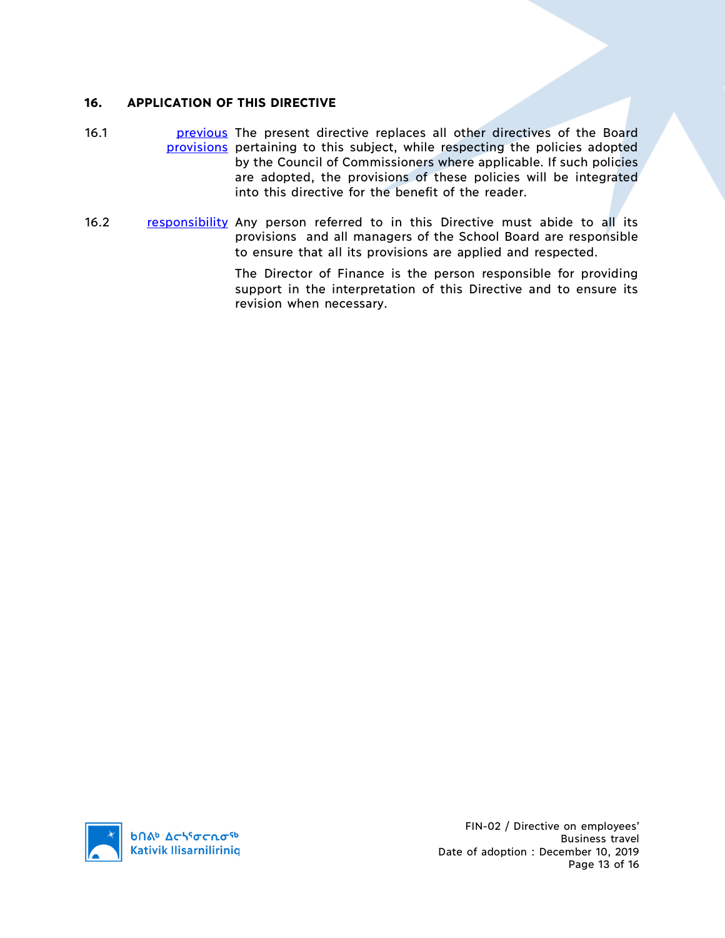### **16. APPLICATION OF THIS DIRECTIVE**

- 16.1 **previous** The present directive replaces all other directives of the Board provisions pertaining to this subject, while respecting the policies adopted by the Council of Commissioners where applicable. If such policies are adopted, the provisions of these policies will be integrated into this directive for the benefit of the reader.
- 16.2 responsibility Any person referred to in this Directive must abide to all its provisions and all managers of the School Board are responsible to ensure that all its provisions are applied and respected.

The Director of Finance is the person responsible for providing support in the interpretation of this Directive and to ensure its revision when necessary.

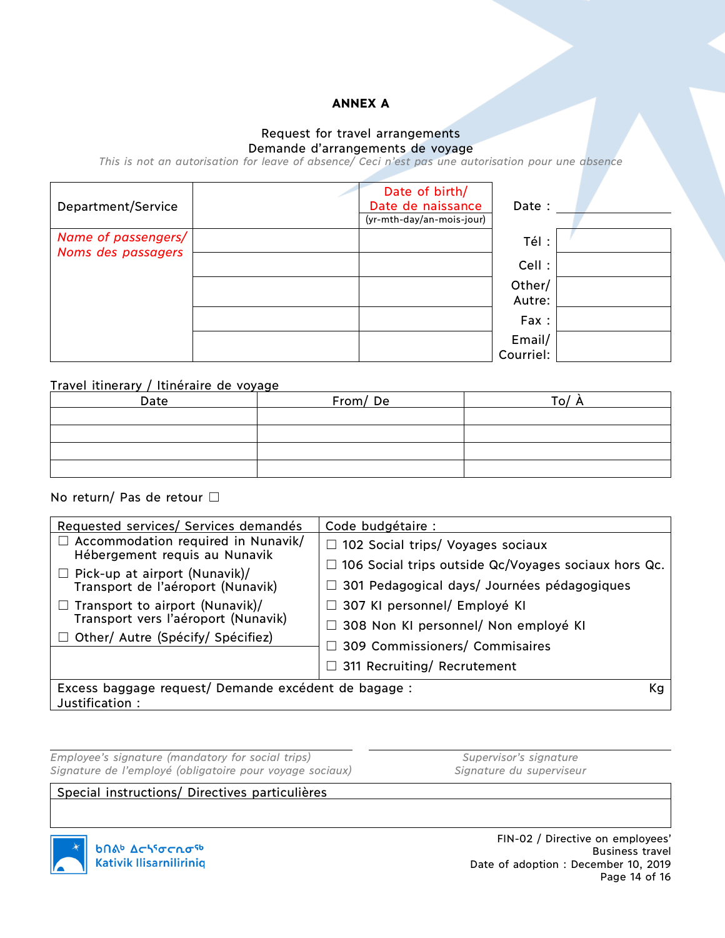### **ANNEX A**

#### Request for travel arrangements Demande d'arrangements de voyage

*This is not an autorisation for leave of absence/ Ceci n'est pas une autorisation pour une absence*

| Department/Service                        | Date of birth/<br>Date de naissance<br>(yr-mth-day/an-mois-jour) | Date :              |  |
|-------------------------------------------|------------------------------------------------------------------|---------------------|--|
| Name of passengers/<br>Noms des passagers |                                                                  | Tél:                |  |
|                                           |                                                                  | Cell :              |  |
|                                           |                                                                  | Other/<br>Autre:    |  |
|                                           |                                                                  | Fax:                |  |
|                                           |                                                                  | Email/<br>Courriel: |  |

### Travel itinerary / Itinéraire de voyage

| Date | From/De | o۱. |
|------|---------|-----|
|      |         |     |
|      |         |     |
|      |         |     |
|      |         |     |
|      |         |     |

### No return/ Pas de retour □

| Requested services/ Services demandés                                      | Code budgétaire :                                           |  |
|----------------------------------------------------------------------------|-------------------------------------------------------------|--|
| $\Box$ Accommodation required in Nunavik/<br>Hébergement requis au Nunavik | $\Box$ 102 Social trips/ Voyages sociaux                    |  |
| $\Box$ Pick-up at airport (Nunavik)/                                       | $\Box$ 106 Social trips outside Qc/Voyages sociaux hors Qc. |  |
| Transport de l'aéroport (Nunavik)                                          | $\Box$ 301 Pedagogical days/ Journées pédagogiques          |  |
| Transport to airport (Nunavik)/                                            | □ 307 KI personnel/ Employé KI                              |  |
| Transport vers l'aéroport (Nunavik)                                        | □ 308 Non KI personnel/ Non employé KI                      |  |
| Other/ Autre (Spécify/ Spécifiez)                                          | □ 309 Commissioners/ Commisaires                            |  |
|                                                                            |                                                             |  |
|                                                                            | $\Box$ 311 Recruiting/ Recrutement                          |  |
| Excess baggage request/ Demande excédent de bagage :<br>Кg                 |                                                             |  |
| Justification:                                                             |                                                             |  |

*Employee's signature (mandatory for social trips) Supervisor's signature Signature de l'employé (obligatoire pour voyage sociaux) Signature du superviseur*

Special instructions/ Directives particulières

FIN-02 / Directive on employees'



Business travel Date of adoption : December 10, 2019 Page 14 of 16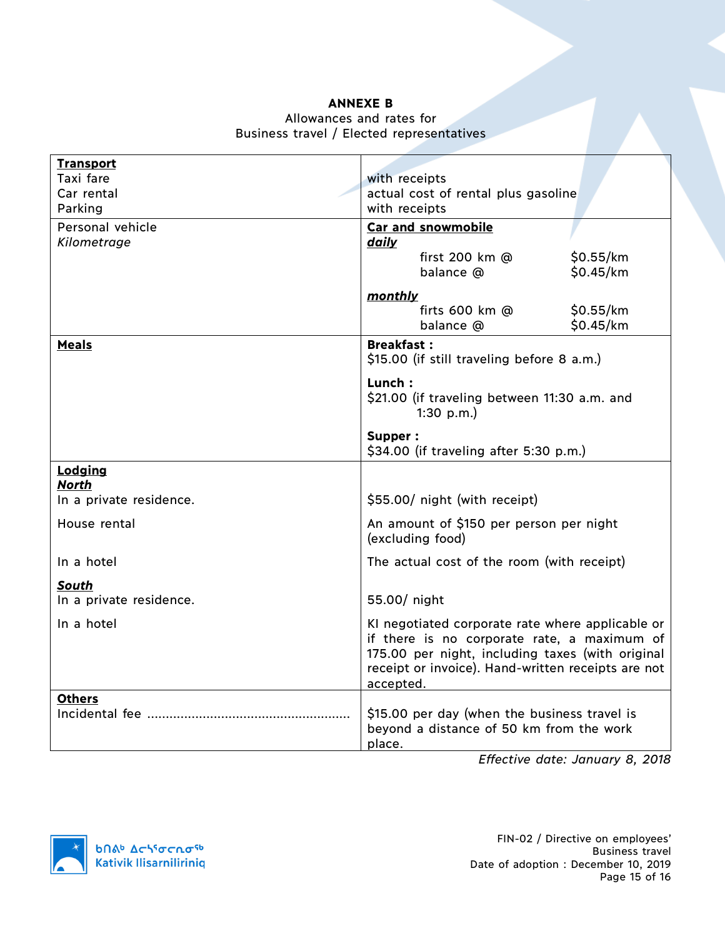### **ANNEXE B**

### Allowances and rates for Business travel / Elected representatives

| <b>Transport</b>        |                                                    |  |  |  |
|-------------------------|----------------------------------------------------|--|--|--|
| Taxi fare               | with receipts                                      |  |  |  |
| Car rental              | actual cost of rental plus gasoline                |  |  |  |
| Parking                 | with receipts                                      |  |  |  |
|                         |                                                    |  |  |  |
| Personal vehicle        | <b>Car and snowmobile</b>                          |  |  |  |
| Kilometrage             | daily                                              |  |  |  |
|                         | first 200 km @<br>\$0.55/km                        |  |  |  |
|                         | \$0.45/km<br>balance @                             |  |  |  |
|                         | monthly                                            |  |  |  |
|                         | \$0.55/km<br>firts $600$ km $@$                    |  |  |  |
|                         | \$0.45/km<br>balance @                             |  |  |  |
|                         |                                                    |  |  |  |
| <b>Meals</b>            | <b>Breakfast:</b>                                  |  |  |  |
|                         | \$15.00 (if still traveling before 8 a.m.)         |  |  |  |
|                         | Lunch:                                             |  |  |  |
|                         | \$21.00 (if traveling between 11:30 a.m. and       |  |  |  |
|                         | 1:30 $p.m.$ )                                      |  |  |  |
|                         |                                                    |  |  |  |
|                         | Supper:                                            |  |  |  |
|                         | \$34.00 (if traveling after 5:30 p.m.)             |  |  |  |
| Lodging                 |                                                    |  |  |  |
| <b>North</b>            |                                                    |  |  |  |
| In a private residence. | \$55.00/ night (with receipt)                      |  |  |  |
| House rental            | An amount of \$150 per person per night            |  |  |  |
|                         | (excluding food)                                   |  |  |  |
|                         |                                                    |  |  |  |
| In a hotel              | The actual cost of the room (with receipt)         |  |  |  |
| South                   |                                                    |  |  |  |
| In a private residence. | 55.00/ night                                       |  |  |  |
|                         |                                                    |  |  |  |
| In a hotel              | KI negotiated corporate rate where applicable or   |  |  |  |
|                         | if there is no corporate rate, a maximum of        |  |  |  |
|                         | 175.00 per night, including taxes (with original   |  |  |  |
|                         | receipt or invoice). Hand-written receipts are not |  |  |  |
|                         | accepted.                                          |  |  |  |
| <b>Others</b>           |                                                    |  |  |  |
| Incidental fee          | \$15.00 per day (when the business travel is       |  |  |  |
|                         | beyond a distance of 50 km from the work           |  |  |  |
|                         | place.                                             |  |  |  |

*Effective date: January 8, 2018*